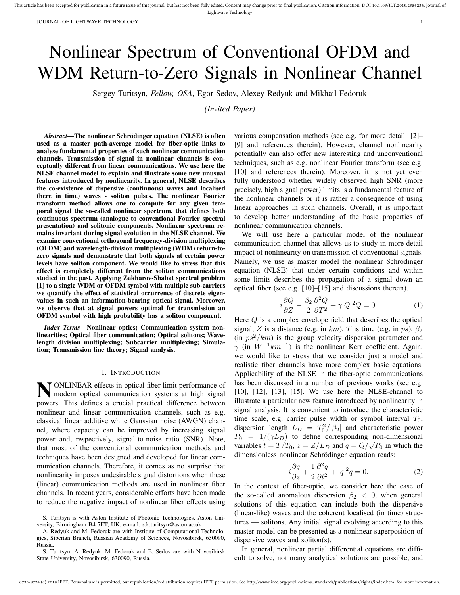# Nonlinear Spectrum of Conventional OFDM and WDM Return-to-Zero Signals in Nonlinear Channel

Sergey Turitsyn, *Fellow, OSA*, Egor Sedov, Alexey Redyuk and Mikhail Fedoruk

*(Invited Paper)*

*Abstract*—The nonlinear Schrödinger equation (NLSE) is often used as a master path-average model for fiber-optic links to analyse fundamental properties of such nonlinear communication channels. Transmission of signal in nonlinear channels is conceptually different from linear communications. We use here the NLSE channel model to explain and illustrate some new unusual features introduced by nonlinearity. In general, NLSE describes the co-existence of dispersive (continuous) waves and localised (here in time) waves - soliton pulses. The nonlinear Fourier transform method allows one to compute for any given temporal signal the so-called nonlinear spectrum, that defines both continuous spectrum (analogue to conventional Fourier spectral presentation) and solitonic components. Nonlinear spectrum remains invariant during signal evolution in the NLSE channel. We examine conventional orthogonal frequency-division multiplexing (OFDM) and wavelength-division multiplexing (WDM) return-tozero signals and demonstrate that both signals at certain power levels have soliton component. We would like to stress that this effect is completely different from the soliton communications studied in the past. Applying Zakharov-Shabat spectral problem [1] to a single WDM or OFDM symbol with multiple sub-carriers we quantify the effect of statistical occurrence of discrete eigenvalues in such an information-bearing optical signal. Moreover, we observe that at signal powers optimal for transmission an OFDM symbol with high probability has a soliton component.

*Index Terms*—Nonlinear optics; Communication system nonlinearities; Optical fiber communication; Optical solitons; Wavelength division multiplexing; Subcarrier multiplexing; Simulation; Transmission line theory; Signal analysis.

### I. INTRODUCTION

**N** ONLINEAR effects in optical fiber limit performance of modern optical communication systems at high signal modern optical communication systems at high signal powers. This defines a crucial practical difference between nonlinear and linear communication channels, such as e.g. classical linear additive white Gaussian noise (AWGN) channel, where capacity can be improved by increasing signal power and, respectively, signal-to-noise ratio (SNR). Note, that most of the conventional communication methods and techniques have been designed and developed for linear communication channels. Therefore, it comes as no surprise that nonlinearity imposes undesirable signal distortions when these (linear) communication methods are used in nonlinear fiber channels. In recent years, considerable efforts have been made to reduce the negative impact of nonlinear fiber effects using

various compensation methods (see e.g. for more detail [2]– [9] and references therein). However, channel nonlinearity potentially can also offer new interesting and unconventional techniques, such as e.g. nonlinear Fourier transform (see e.g. [10] and references therein). Moreover, it is not yet even fully understood whether widely observed high SNR (more precisely, high signal power) limits is a fundamental feature of the nonlinear channels or it is rather a consequence of using linear approaches in such channels. Overall, it is important to develop better understanding of the basic properties of nonlinear communication channels.

We will use here a particular model of the nonlinear communication channel that allows us to study in more detail impact of nonlinearity on transmission of conventional signals. Namely, we use as master model the nonlinear Schrödinger equation (NLSE) that under certain conditions and within some limits describes the propagation of a signal down an optical fiber (see e.g. [10]–[15] and discussions therein).

$$
i\frac{\partial Q}{\partial Z} - \frac{\beta_2}{2} \frac{\partial^2 Q}{\partial T^2} + \gamma |Q|^2 Q = 0.
$$
 (1)

Here Q is a complex envelope field that describes the optical signal, Z is a distance (e.g. in km), T is time (e.g. in ps),  $\beta_2$ (in  $ps^2/km$ ) is the group velocity dispersion parameter and  $\gamma$  (in  $W^{-1}km^{-1}$ ) is the nonlinear Kerr coefficient. Again, we would like to stress that we consider just a model and realistic fiber channels have more complex basic equations. Applicability of the NLSE in the fiber-optic communications has been discussed in a number of previous works (see e.g. [10], [12], [13], [15]. We use here the NLSE-channel to illustrate a particular new feature introduced by nonlinearity in signal analysis. It is convenient to introduce the characteristic time scale, e.g. carrier pulse width or symbol interval  $T_0$ , dispersion length  $L_D = T_0^2/|\beta_2|$  and characteristic power  $P_0 = 1/(\gamma L_D)$  to define corresponding non-dimensional  $r_0 = 1/( \gamma L_D)$  to define corresponding non-dimensional<br>variables  $t = T/T_0$ ,  $z = Z/L_D$  and  $q = Q/\sqrt{P_0}$  in which the dimensionless nonlinear Schrödinger equation reads:

$$
i\frac{\partial q}{\partial z} + \frac{1}{2}\frac{\partial^2 q}{\partial t^2} + |q|^2 q = 0.
$$
 (2)

In the context of fiber-optic, we consider here the case of the so-called anomalous dispersion  $\beta_2 < 0$ , when general solutions of this equation can include both the dispersive (linear-like) waves and the coherent localised (in time) structures — solitons. Any initial signal evolving according to this master model can be presented as a nonlinear superposition of dispersive waves and soliton(s).

In general, nonlinear partial differential equations are difficult to solve, not many analytical solutions are possible, and

S. Turitsyn is with Aston Institute of Photonic Technologies, Aston University, Birmingham B4 7ET, UK, e-mail: s.k.turitsyn@aston.ac.uk.

A. Redyuk and M. Fedoruk are with Institute of Computational Technologies, Siberian Branch, Russian Academy of Sciences, Novosibirsk, 630090, Russia.

S. Turitsyn, A. Redyuk, M. Fedoruk and E. Sedov are with Novosibirsk State University, Novosibirsk, 630090, Russia.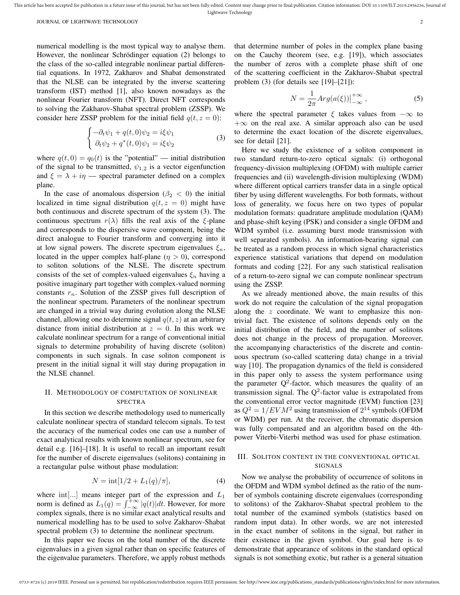numerical modelling is the most typical way to analyse them. However, the nonlinear Schrödinger equation (2) belongs to the class of the so-called integrable nonlinear partial differential equations. In 1972, Zakharov and Shabat demonstrated that the NLSE can be integrated by the inverse scattering transform (IST) method [1], also known nowadays as the nonlinear Fourier transform (NFT). Direct NFT corresponds to solving the Zakharov-Shabat spectral problem (ZSSP). We consider here ZSSP problem for the initial field  $q(t, z = 0)$ :

$$
\begin{cases}\n-\partial_t \psi_1 + q(t,0)\psi_2 = i\xi \psi_1 \\
\partial_t \psi_2 + q^*(t,0)\psi_1 = i\xi \psi_2\n\end{cases}
$$
\n(3)

where  $q(t, 0) = q_0(t)$  is the "potential" — initial distribution of the signal to be transmitted,  $\psi_{1,2}$  is a vector eigenfunction and  $\xi = \lambda + i\eta$  — spectral parameter defined on a complex plane.

In the case of anomalous dispersion ( $\beta_2$  < 0) the initial localized in time signal distribution  $q(t, z = 0)$  might have both continuous and discrete spectrum of the system (3). The continuous spectrum  $r(\lambda)$  fills the real axis of the ξ-plane and corresponds to the dispersive wave component, being the direct analogue to Fourier transform and converging into it at low signal powers. The discrete spectrum eigenvalues  $\xi_n$ , located in the upper complex half-plane  $(\eta > 0)$ , correspond to soliton solutions of the NLSE. The discrete spectrum consists of the set of complex-valued eigenvalues  $\xi_n$  having a positive imaginary part together with complex-valued norming constants  $r_n$ . Solution of the ZSSP gives full description of the nonlinear spectrum. Parameters of the nonlinear spectrum are changed in a trivial way during evolution along the NLSE channel, allowing one to determine signal  $q(t, z)$  at an arbitrary distance from initial distribution at  $z = 0$ . In this work we calculate nonlinear spectrum for a range of conventional initial signals to determine probability of having discrete (soliton) components in such signals. In case soliton component is present in the initial signal it will stay during propagation in the NLSE channel.

## II. METHODOLOGY OF COMPUTATION OF NONLINEAR SPECTRA

In this section we describe methodology used to numerically calculate nonlinear spectra of standard telecom signals. To test the accuracy of the numerical codes one can use a number of exact analytical results with known nonlinear spectrum, see for detail e.g. [16]–[18]. It is useful to recall an important result for the number of discrete eigenvalues (solitons) containing in a rectangular pulse without phase modulation:

$$
N = \text{int}[1/2 + L_1(q)/\pi],\tag{4}
$$

where  $int[...]$  means integer part of the expression and  $L_1$ norm is defined as  $L_1(q) = \int_{-\infty}^{+\infty} |q(t)|dt$ . However, for more complex signals, there is no similar exact analytical results and numerical modelling has to be used to solve Zakharov-Shabat spectral problem (3) to determine the nonlinear spectrum.

In this paper we focus on the total number of the discrete eigenvalues in a given signal rather than on specific features of the eigenvalue parameters. Therefore, we apply robust methods

that determine number of poles in the complex plane basing on the Cauchy theorem (see, e.g. [19]), which associates the number of zeros with a complete phase shift of one of the scattering coefficient in the Zakharov-Shabat spectral problem (3) (for details see [19]–[21]):

$$
N = \frac{1}{2\pi} Arg(a(\xi))\Big|_{-\infty}^{+\infty},\tag{5}
$$

where the spectral parameter  $\xi$  takes values from  $-\infty$  to  $+\infty$  on the real axe. A similar approach also can be used to determine the exact location of the discrete eigenvalues, see for detail [21].

Here we study the existence of a soliton component in two standard return-to-zero optical signals: (i) orthogonal frequency-division multiplexing (OFDM) with multiple carrier frequencies and (ii) wavelength-division multiplexing (WDM) where different optical carriers transfer data in a single optical fiber by using different wavelengths. For both formats, without loss of generality, we focus here on two types of popular modulation formats: quadrature amplitude modulation (QAM) and phase-shift keying (PSK) and consider a single OFDM and WDM symbol (i.e. assuming burst mode transmission with well separated symbols). An information-bearing signal can be treated as a random process in which signal characteristics experience statistical variations that depend on modulation formats and coding [22]. For any such statistical realisation of a return-to-zero signal we can compute nonlinear spectrum using the ZSSP.

As we already mentioned above, the main results of this work do not require the calculation of the signal propagation along the z coordinate. We want to emphasize this nontrivial fact. The existence of solitons depends only on the initial distribution of the field, and the number of solitons does not change in the process of propagation. Moreover, the accompanying characteristics of the discrete and continuous spectrum (so-called scattering data) change in a trivial way [10]. The propagation dynamics of the field is considered in this paper only to assess the system performance using the parameter  $Q^2$ -factor, which measures the quality of an transmission signal. The  $Q^2$ -factor value is extrapolated from the conventional error vector magnitude (EVM) function [23] as  $Q^2 = 1/EVM^2$  using transmission of  $2^{14}$  symbols (OFDM or WDM) per run. At the receiver, the chromatic dispersion was fully compensated and an algorithm based on the 4thpower Viterbi-Viterbi method was used for phase estimation.

## III. SOLITON CONTENT IN THE CONVENTIONAL OPTICAL SIGNALS

Now we analyse the probability of occurrence of solitons in the OFDM and WDM symbol defined as the ratio of the number of symbols containing discrete eigenvalues (corresponding to solitons) of the Zakharov-Shabat spectral problem to the total number of the examined symbols (statistics based on random input data). In other words, we are not interested in the exact number of solitons in the signal, but rather in their existence in the given symbol. Our goal here is to demonstrate that appearance of solitons in the standard optical signals is not something exotic, but rather is a general situation

This article has been accepted for publication in a future issue of this journal, but has not been fully edited. Content may change prior to final publication. Citation information: DOI 10.1109/JLT.2019.2956236, Journal of Lightwave Technology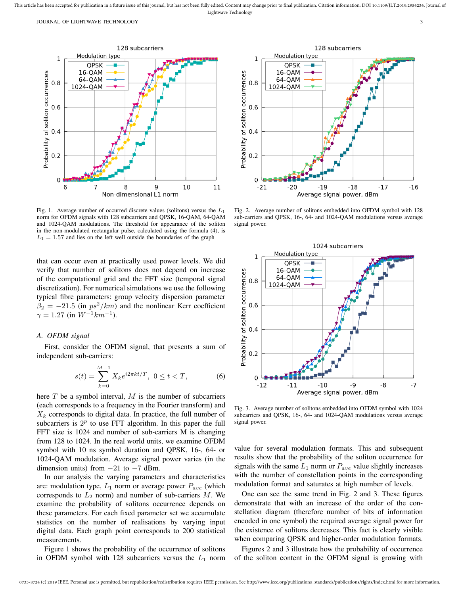JOURNAL OF LIGHTWAVE TECHNOLOGY 3



Fig. 1. Average number of occurred discrete values (solitons) versus the  $L_1$ norm for OFDM signals with 128 subcarriers and QPSK, 16-QAM, 64-QAM and 1024-QAM modulations. The threshold for appearance of the soliton in the non-modulated rectangular pulse, calculated using the formula (4), is  $L_1 = 1.57$  and lies on the left well outside the boundaries of the graph

that can occur even at practically used power levels. We did verify that number of solitons does not depend on increase of the computational grid and the FFT size (temporal signal discretization). For numerical simulations we use the following typical fibre parameters: group velocity dispersion parameter  $\beta_2 = -21.5$  (in  $ps^2/km$ ) and the nonlinear Kerr coefficient  $\gamma = 1.27$  (in  $W^{-1}km^{-1}$ ).

## *A. OFDM signal*

First, consider the OFDM signal, that presents a sum of independent sub-carriers:

$$
s(t) = \sum_{k=0}^{M-1} X_k e^{i2\pi kt/T}, \ 0 \le t < T,\tag{6}
$$

here  $T$  be a symbol interval,  $M$  is the number of subcarriers (each corresponds to a frequency in the Fourier transform) and  $X_k$  corresponds to digital data. In practice, the full number of subcarriers is  $2^p$  to use FFT algorithm. In this paper the full FFT size is 1024 and number of sub-carriers M is changing from 128 to 1024. In the real world units, we examine OFDM symbol with 10 ns symbol duration and QPSK, 16-, 64- or 1024-QAM modulation. Average signal power varies (in the dimension units) from  $-21$  to  $-7$  dBm.

In our analysis the varying parameters and characteristics are: modulation type,  $L_1$  norm or average power  $P_{ave}$  (which corresponds to  $L_2$  norm) and number of sub-carriers  $M$ . We examine the probability of solitons occurrence depends on these parameters. For each fixed parameter set we accumulate statistics on the number of realisations by varying input digital data. Each graph point corresponds to 200 statistical measurements.

Figure 1 shows the probability of the occurrence of solitons in OFDM symbol with 128 subcarriers versus the  $L_1$  norm



Fig. 2. Average number of solitons embedded into OFDM symbol with 128 sub-carriers and QPSK, 16-, 64- and 1024-QAM modulations versus average signal power.



Fig. 3. Average number of solitons embedded into OFDM symbol with 1024 subcarriers and QPSK, 16-, 64- and 1024-QAM modulations versus average signal power.

value for several modulation formats. This and subsequent results show that the probability of the soliton occurrence for signals with the same  $L_1$  norm or  $P_{ave}$  value slightly increases with the number of constellation points in the corresponding modulation format and saturates at high number of levels.

One can see the same trend in Fig. 2 and 3. These figures demonstrate that with an increase of the order of the constellation diagram (therefore number of bits of information encoded in one symbol) the required average signal power for the existence of solitons decreases. This fact is clearly visible when comparing QPSK and higher-order modulation formats.

Figures 2 and 3 illustrate how the probability of occurrence of the soliton content in the OFDM signal is growing with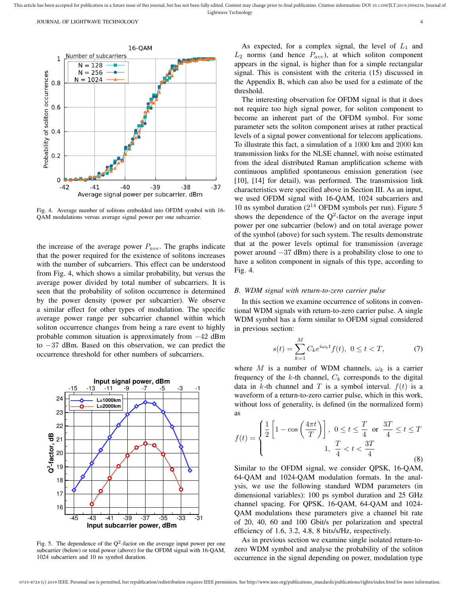

Fig. 4. Average number of solitons embedded into OFDM symbol with 16- QAM modulations versus average signal power per one subcarrier.

the increase of the average power  $P_{ave}$ . The graphs indicate that the power required for the existence of solitons increases with the number of subcarriers. This effect can be understood from Fig. 4, which shows a similar probability, but versus the average power divided by total number of subcarriers. It is seen that the probability of soliton occurrence is determined by the power density (power per subcarrier). We observe a similar effect for other types of modulation. The specific average power range per subcarrier channel within which soliton occurrence changes from being a rare event to highly probable common situation is approximately from −42 dBm to −37 dBm. Based on this observation, we can predict the occurrence threshold for other numbers of subcarriers.



Fig. 5. The dependence of the  $Q^2$ -factor on the average input power per one subcarrier (below) or total power (above) for the OFDM signal with 16-QAM, 1024 subcarriers and 10 ns symbol duration.

As expected, for a complex signal, the level of  $L_1$  and  $L_2$  norms (and hence  $P_{ave}$ ), at which soliton component appears in the signal, is higher than for a simple rectangular signal. This is consistent with the criteria (15) discussed in the Appendix B, which can also be used for a estimate of the threshold.

The interesting observation for OFDM signal is that it does not require too high signal power, for soliton component to become an inherent part of the OFDM symbol. For some parameter sets the soliton component arises at rather practical levels of a signal power conventional for telecom applications. To illustrate this fact, a simulation of a 1000 km and 2000 km transmission links for the NLSE channel, with noise estimated from the ideal distributed Raman amplification scheme with continuous amplified spontaneous emission generation (see [10], [14] for detail), was performed. The transmission link characteristics were specified above in Section III. As an input, we used OFDM signal with 16-QAM, 1024 subcarriers and 10 ns symbol duration  $(2^{14}$  OFDM symbols per run). Figure 5 shows the dependence of the  $Q^2$ -factor on the average input power per one subcarrier (below) and on total average power of the symbol (above) for such system. The results demonstrate that at the power levels optimal for transmission (average power around −37 dBm) there is a probability close to one to have a soliton component in signals of this type, according to Fig. 4.

## *B. WDM signal with return-to-zero carrier pulse*

In this section we examine occurrence of solitons in conventional WDM signals with return-to-zero carrier pulse. A single WDM symbol has a form similar to OFDM signal considered in previous section:

$$
s(t) = \sum_{k=1}^{M} C_k e^{i\omega_k t} f(t), \ 0 \le t < T,\tag{7}
$$

where M is a number of WDM channels,  $\omega_k$  is a carrier frequency of the k-th channel,  $C_k$  corresponds to the digital data in k-th channel and T is a symbol interval.  $f(t)$  is a waveform of a return-to-zero carrier pulse, which in this work, without loss of generality, is defined (in the normalized form) as

$$
f(t) = \begin{cases} \frac{1}{2} \left[ 1 - \cos\left(\frac{4\pi t}{T}\right) \right], & 0 \le t \le \frac{T}{4} \text{ or } \frac{3T}{4} \le t \le T \\ 1, & \frac{T}{4} < t < \frac{3T}{4} \end{cases}
$$
(8)

Similar to the OFDM signal, we consider QPSK, 16-QAM, 64-QAM and 1024-QAM modulation formats. In the analysis, we use the following standard WDM parameters (in dimensional variables): 100 ps symbol duration and 25 GHz channel spacing. For QPSK, 16-QAM, 64-QAM and 1024- QAM modulations these parameters give a channel bit rate of 20, 40, 60 and 100 Gbit/s per polarization and spectral efficiency of 1.6, 3.2, 4.8, 8 bits/s/Hz, respectively.

As in previous section we examine single isolated return-tozero WDM symbol and analyse the probability of the soliton occurrence in the signal depending on power, modulation type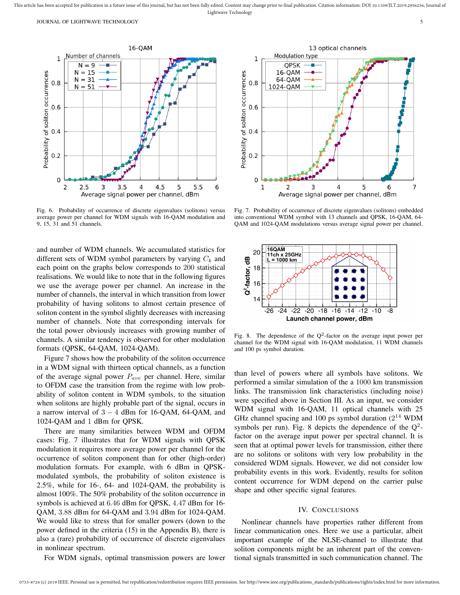

Fig. 6. Probability of occurrence of discrete eigenvalues (solitons) versus average power per channel for WDM signals with 16-QAM modulation and 9, 15, 31 and 51 channels.

and number of WDM channels. We accumulated statistics for different sets of WDM symbol parameters by varying  $C_k$  and each point on the graphs below corresponds to 200 statistical realisations. We would like to note that in the following figures we use the average power per channel. An increase in the number of channels, the interval in which transition from lower probability of having solitons to almost certain presence of soliton content in the symbol slightly decreases with increasing number of channels. Note that corresponding intervals for the total power obviously increases with growing number of channels. A similar tendency is observed for other modulation formats (QPSK, 64-QAM, 1024-QAM).

Figure 7 shows how the probability of the soliton occurrence in a WDM signal with thirteen optical channels, as a function of the average signal power  $P_{ave}$  per channel. Here, similar to OFDM case the transition from the regime with low probability of soliton content in WDM symbols, to the situation when solitons are highly probable part of the signal, occurs in a narrow interval of  $3 - 4$  dBm for 16-QAM, 64-QAM, and 1024-QAM and 1 dBm for QPSK.

There are many similarities between WDM and OFDM cases: Fig. 7 illustrates that for WDM signals with QPSK modulation it requires more average power per channel for the occurrence of soliton component than for other (high-order) modulation formats. For example, with 6 dBm in QPSKmodulated symbols, the probability of soliton existence is 2.5%, while for 16-, 64- and 1024-QAM, the probability is almost 100%. The 50% probability of the soliton occurrence in symbols is achieved at 6.46 dBm for QPSK, 4.47 dBm for 16- QAM, 3.88 dBm for 64-QAM and 3.94 dBm for 1024-QAM. We would like to stress that for smaller powers (down to the power defined in the criteria (15) in the Appendix B), there is also a (rare) probability of occurrence of discrete eigenvalues in nonlinear spectrum.

For WDM signals, optimal transmission powers are lower



Fig. 7. Probability of occurrence of discrete eigenvalues (solitons) embedded into conventional WDM symbol with 13 channels and QPSK, 16-QAM, 64- QAM and 1024-QAM modulations versus average signal power per channel.



Fig. 8. The dependence of the  $Q^2$ -factor on the average input power per channel for the WDM signal with 16-QAM modulation, 11 WDM channels and 100 ps symbol duration.

than level of powers where all symbols have solitons. We performed a similar simulation of the a 1000 km transmission links. The transmission link characteristics (including noise) were specified above in Section III. As an input, we consider WDM signal with 16-QAM, 11 optical channels with 25 GHz channel spacing and 100 ps symbol duration  $(2^{14}$  WDM symbols per run). Fig. 8 depicts the dependence of the  $Q^2$ factor on the average input power per spectral channel. It is seen that at optimal power levels for transmission, either there are no solitons or solitons with very low probability in the considered WDM signals. However, we did not consider low probability events in this work. Evidently, results for soliton content occurrence for WDM depend on the carrier pulse shape and other specific signal features.

### IV. CONCLUSIONS

Nonlinear channels have properties rather different from linear communication ones. Here we use a particular, albeit important example of the NLSE-channel to illustrate that soliton components might be an inherent part of the conventional signals transmitted in such communication channel. The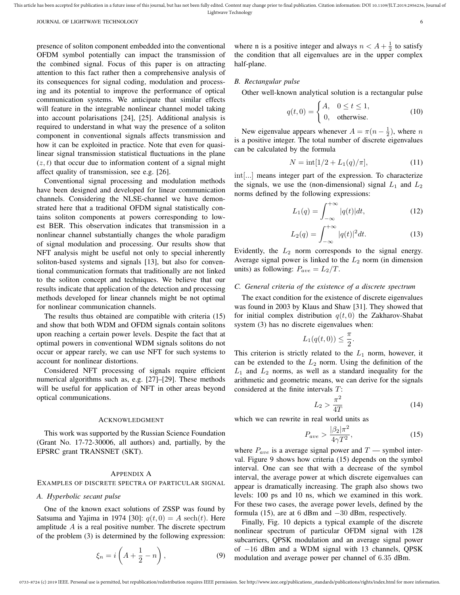presence of soliton component embedded into the conventional OFDM symbol potentially can impact the transmission of the combined signal. Focus of this paper is on attracting attention to this fact rather then a comprehensive analysis of its consequences for signal coding, modulation and processing and its potential to improve the performance of optical communication systems. We anticipate that similar effects will feature in the integrable nonlinear channel model taking into account polarisations [24], [25]. Additional analysis is required to understand in what way the presence of a soliton component in conventional signals affects transmission and how it can be exploited in practice. Note that even for quasilinear signal transmission statistical fluctuations in the plane  $(z, t)$  that occur due to information content of a signal might affect quality of transmission, see e.g. [26].

Conventional signal processing and modulation methods have been designed and developed for linear communication channels. Considering the NLSE-channel we have demonstrated here that a traditional OFDM signal statistically contains soliton components at powers corresponding to lowest BER. This observation indicates that transmission in a nonlinear channel substantially changes the whole paradigm of signal modulation and processing. Our results show that NFT analysis might be useful not only to special inherently soliton-based systems and signals [13], but also for conventional communication formats that traditionally are not linked to the soliton concept and techniques. We believe that our results indicate that application of the detection and processing methods developed for linear channels might be not optimal for nonlinear communication channels.

The results thus obtained are compatible with criteria (15) and show that both WDM and OFDM signals contain solitons upon reaching a certain power levels. Despite the fact that at optimal powers in conventional WDM signals solitons do not occur or appear rarely, we can use NFT for such systems to account for nonlinear distortions.

Considered NFT processing of signals require efficient numerical algorithms such as, e.g. [27]–[29]. These methods will be useful for application of NFT in other areas beyond optical communications.

#### ACKNOWLEDGMENT

This work was supported by the Russian Science Foundation (Grant No. 17-72-30006, all authors) and, partially, by the EPSRC grant TRANSNET (SKT).

## APPENDIX A

### EXAMPLES OF DISCRETE SPECTRA OF PARTICULAR SIGNAL

## *A. Hyperbolic secant pulse*

One of the known exact solutions of ZSSP was found by Satsuma and Yajima in 1974 [30]:  $q(t, 0) = A \sech(t)$ . Here amplitude A is a real positive number. The discrete spectrum of the problem (3) is determined by the following expression:

$$
\xi_n = i\left(A + \frac{1}{2} - n\right),\tag{9}
$$

where n is a positive integer and always  $n < A + \frac{1}{2}$  to satisfy the condition that all eigenvalues are in the upper complex half-plane.

## *B. Rectangular pulse*

Other well-known analytical solution is a rectangular pulse

$$
q(t,0) = \begin{cases} A, & 0 \le t \le 1, \\ 0, & \text{otherwise.} \end{cases}
$$
 (10)

New eigenvalue appears whenever  $A = \pi(n - \frac{1}{2})$ , where n is a positive integer. The total number of discrete eigenvalues can be calculated by the formula

$$
N = \text{int}[1/2 + L_1(q)/\pi],\tag{11}
$$

int[...] means integer part of the expression. To characterize the signals, we use the (non-dimensional) signal  $L_1$  and  $L_2$ norms defined by the following expressions:

$$
L_1(q) = \int_{-\infty}^{+\infty} |q(t)| dt,
$$
 (12)

$$
L_2(q) = \int_{-\infty}^{+\infty} |q(t)|^2 dt.
$$
 (13)

Evidently, the  $L_2$  norm corresponds to the signal energy. Average signal power is linked to the  $L_2$  norm (in dimension units) as following:  $P_{ave} = L_2/T$ .

#### *C. General criteria of the existence of a discrete spectrum*

The exact condition for the existence of discrete eigenvalues was found in 2003 by Klaus and Shaw [31]. They showed that for initial complex distribution  $q(t, 0)$  the Zakharov-Shabat system  $(3)$  has no discrete eigenvalues when:

$$
L_1(q(t,0)) \leq \frac{\pi}{2}.
$$

This criterion is strictly related to the  $L_1$  norm, however, it can be extended to the  $L_2$  norm. Using the definition of the  $L_1$  and  $L_2$  norms, as well as a standard inequality for the arithmetic and geometric means, we can derive for the signals considered at the finite intervals T:

$$
L_2 > \frac{\pi^2}{4T} \tag{14}
$$

which we can rewrite in real world units as

$$
P_{ave} > \frac{|\beta_2|\pi^2}{4\gamma T^2},\tag{15}
$$

where  $P_{ave}$  is a average signal power and  $T$  — symbol interval. Figure 9 shows how criteria (15) depends on the symbol interval. One can see that with a decrease of the symbol interval, the average power at which discrete eigenvalues can appear is dramatically increasing. The graph also shows two levels: 100 ps and 10 ns, which we examined in this work. For these two cases, the average power levels, defined by the formula (15), are at 6 dBm and  $-30$  dBm, respectively.

Finally, Fig. 10 depicts a typical example of the discrete nonlinear spectrum of particular OFDM signal with 128 subcarriers, QPSK modulation and an average signal power of −16 dBm and a WDM signal with 13 channels, QPSK modulation and average power per channel of 6.35 dBm.